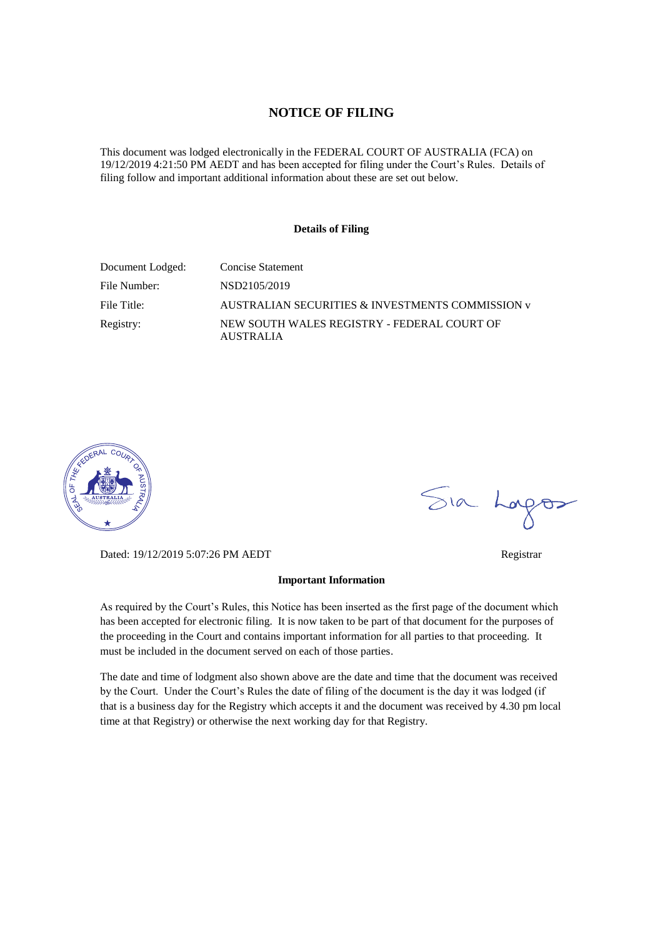## **NOTICE OF FILING**

This document was lodged electronically in the FEDERAL COURT OF AUSTRALIA (FCA) on 19/12/2019 4:21:50 PM AEDT and has been accepted for filing under the Court's Rules. Details of filing follow and important additional information about these are set out below.

### **Details of Filing**

| Document Lodged: | <b>Concise Statement</b>                                        |
|------------------|-----------------------------------------------------------------|
| File Number:     | NSD2105/2019                                                    |
| File Title:      | AUSTRALIAN SECURITIES & INVESTMENTS COMMISSION v                |
| Registry:        | NEW SOUTH WALES REGISTRY - FEDERAL COURT OF<br><b>AUSTRALIA</b> |



Dated: 19/12/2019 5:07:26 PM AEDT Registrar

### **Important Information**

As required by the Court's Rules, this Notice has been inserted as the first page of the document which has been accepted for electronic filing. It is now taken to be part of that document for the purposes of the proceeding in the Court and contains important information for all parties to that proceeding. It must be included in the document served on each of those parties.

The date and time of lodgment also shown above are the date and time that the document was received by the Court. Under the Court's Rules the date of filing of the document is the day it was lodged (if that is a business day for the Registry which accepts it and the document was received by 4.30 pm local time at that Registry) or otherwise the next working day for that Registry.

Sia Logos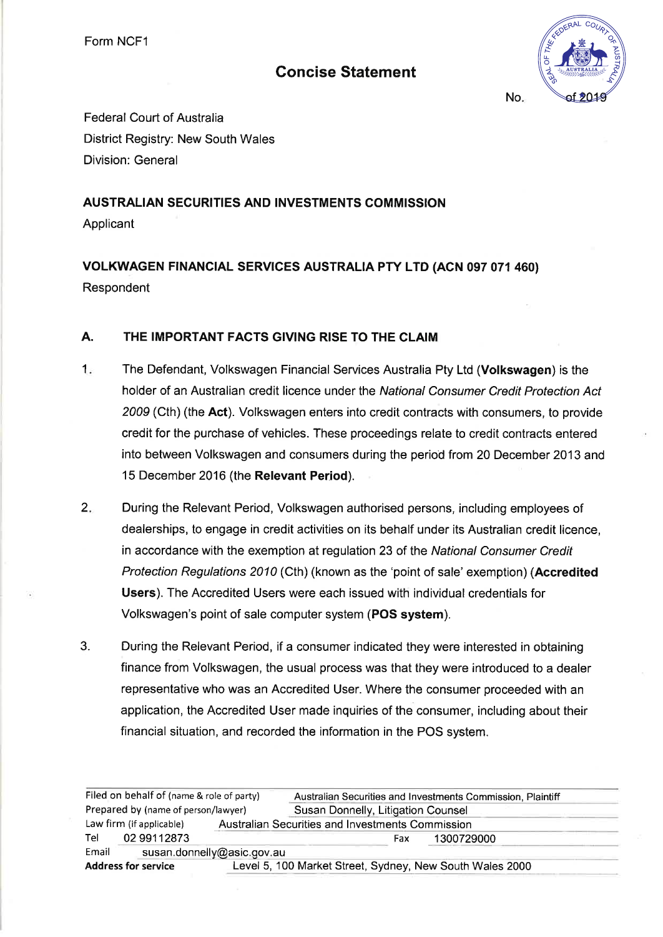Form NCF1

# **Concise Statement**



No.

**Federal Court of Australia District Registry: New South Wales Division: General** 

# **AUSTRALIAN SECURITIES AND INVESTMENTS COMMISSION**

Applicant

# VOLKWAGEN FINANCIAL SERVICES AUSTRALIA PTY LTD (ACN 097 071 460) Respondent

#### **A.** THE IMPORTANT FACTS GIVING RISE TO THE CLAIM

- $1.5$ The Defendant, Volkswagen Financial Services Australia Pty Ltd (Volkswagen) is the holder of an Australian credit licence under the National Consumer Credit Protection Act 2009 (Cth) (the Act). Volkswagen enters into credit contracts with consumers, to provide credit for the purchase of vehicles. These proceedings relate to credit contracts entered into between Volkswagen and consumers during the period from 20 December 2013 and 15 December 2016 (the Relevant Period).
- $2.$ During the Relevant Period, Volkswagen authorised persons, including employees of dealerships, to engage in credit activities on its behalf under its Australian credit licence, in accordance with the exemption at regulation 23 of the National Consumer Credit Protection Regulations 2010 (Cth) (known as the 'point of sale' exemption) (Accredited **Users**). The Accredited Users were each issued with individual credentials for Volkswagen's point of sale computer system (POS system).
- 3. During the Relevant Period, if a consumer indicated they were interested in obtaining finance from Volkswagen, the usual process was that they were introduced to a dealer representative who was an Accredited User. Where the consumer proceeded with an application, the Accredited User made inquiries of the consumer, including about their financial situation, and recorded the information in the POS system.

| Filed on behalf of (name & role of party) |             | Australian Securities and Investments Commission, Plaintiff |     |            |  |
|-------------------------------------------|-------------|-------------------------------------------------------------|-----|------------|--|
| Prepared by (name of person/lawyer)       |             | Susan Donnelly, Litigation Counsel                          |     |            |  |
| Law firm (if applicable)                  |             | Australian Securities and Investments Commission            |     |            |  |
| Tel                                       | 02 99112873 |                                                             | Fax | 1300729000 |  |
| Email                                     |             | susan.donnelly@asic.gov.au                                  |     |            |  |
| <b>Address for service</b>                |             | Level 5, 100 Market Street, Sydney, New South Wales 2000    |     |            |  |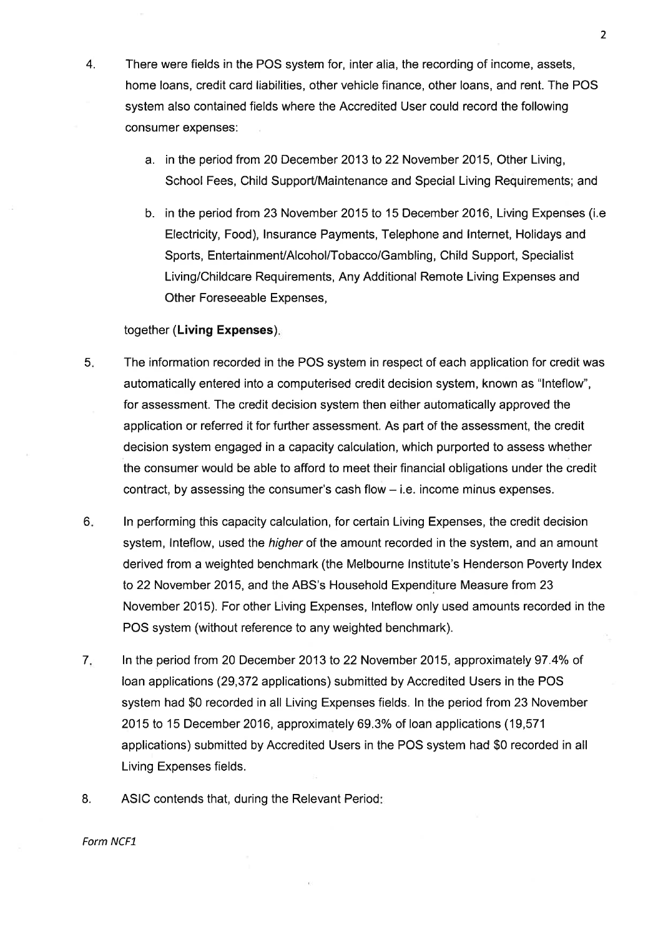- 4. There were fields in the POS system for, inter alia, the recording of income, assets, home loans, credit card liabilities, other vehicle finance, other loans, and rent. The POS system also contained fields where the Accredited User could record the following consumer expenses:
	- a. in the period from 20 December 2013 to 22 November 2015, Other Living, School Fees, Child Support/Maintenance and Special Living Requirements; and
	- b. in the period from 23 November 2015 to 15 December 2016, Living Expenses (i.e. Electricity, Food), Insurance Payments, Telephone and Internet, Holidays and Sports, Entertainment/Alcohol/Tobacco/Gambling, Child Support, Specialist Living/Childcare Requirements, Any Additional Remote Living Expenses and Other Foreseeable Expenses,

### together (Living Expenses).

- $5.$ The information recorded in the POS system in respect of each application for credit was automatically entered into a computerised credit decision system, known as "Inteflow", for assessment. The credit decision system then either automatically approved the application or referred it for further assessment. As part of the assessment, the credit decision system engaged in a capacity calculation, which purported to assess whether the consumer would be able to afford to meet their financial obligations under the credit contract, by assessing the consumer's cash flow – i.e. income minus expenses.
- $6.$ In performing this capacity calculation, for certain Living Expenses, the credit decision system, inteflow, used the *higher* of the amount recorded in the system, and an amount derived from a weighted benchmark (the Melbourne Institute's Henderson Poverty Index to 22 November 2015, and the ABS's Household Expenditure Measure from 23 November 2015). For other Living Expenses, Inteflow only used amounts recorded in the POS system (without reference to any weighted benchmark).
- $7.$ In the period from 20 December 2013 to 22 November 2015, approximately 97.4% of loan applications (29,372 applications) submitted by Accredited Users in the POS system had \$0 recorded in all Living Expenses fields. In the period from 23 November 2015 to 15 December 2016, approximately 69.3% of loan applications (19,571) applications) submitted by Accredited Users in the POS system had \$0 recorded in all Living Expenses fields.
- 8. ASIC contends that, during the Relevant Period:

### Form NCF1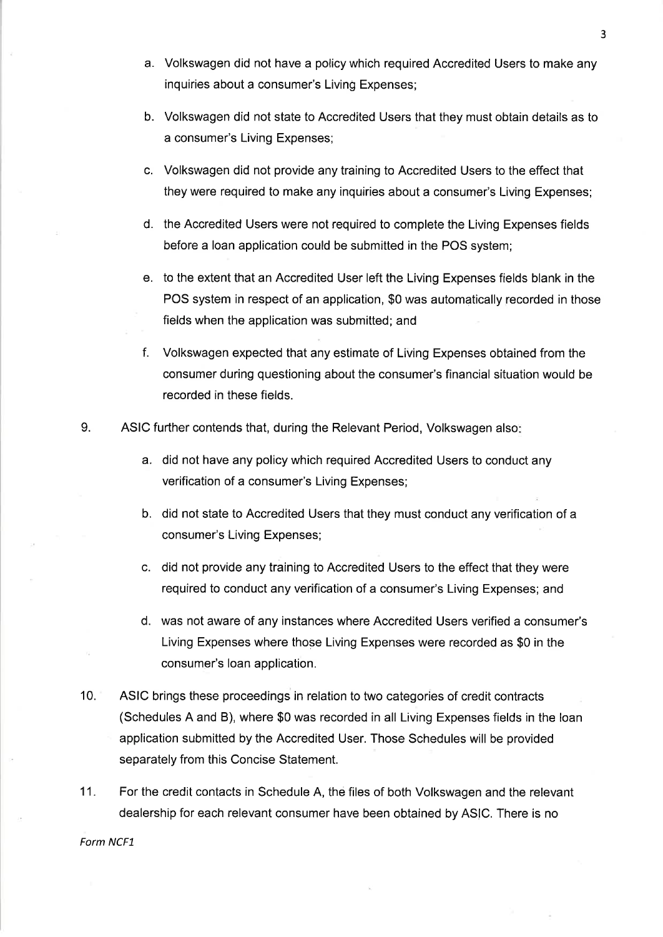- a. Volkswagen did not have a policy which required Accredited Users to make any inquiries about a consumer's Living Expenses;
- b. Volkswagen did not state to Accredited Users that they must obtain details as to a consumer's Living Expenses;
- c. Volkswagen did not provide any training to Accredited Users to the effect that they were required to make any inquiries about a consumer's Living Expenses;
- d. the Accredited Users were not required to complete the Living Expenses fields before a loan application could be submitted in the POS system;
- e. to the extent that an Accredited User left the Living Expenses fields blank in the POS system in respect of an application, \$0 was automatically recorded in those fields when the application was submitted; and
- f. Volkswagen expected that any estimate of Living Expenses obtained from the consumer during questioning about the consumer's financial situation would be recorded in these fields.
- 9. ASIC further contends that, during the Relevant Period, Volkswagen also:
	- a. did not have any policy which required Accredited Users to conduct any verification of a consumer's Living Expenses;
	- b. did not state to Accredited Users that they must conduct any verification of a consumer's Living Expenses;
	- c. did not provide any training to Accredited Users to the effect that they were required to conduct any verification of a consumer's Living Expenses; and
	- d. was not aware of any instances where Accredited Users verified a consumer's Living Expenses where those Living Expenses were recorded as \$0 in the consumer's loan application.
- $10.$ ASIC brings these proceedings in relation to two categories of credit contracts (Schedules A and B), where \$0 was recorded in all Living Expenses fields in the loan application submitted by the Accredited User. Those Schedules will be provided separately from this Concise Statement.
- $11.$ For the credit contacts in Schedule A, the files of both Volkswagen and the relevant dealership for each relevant consumer have been obtained by ASIC. There is no

Form NCF1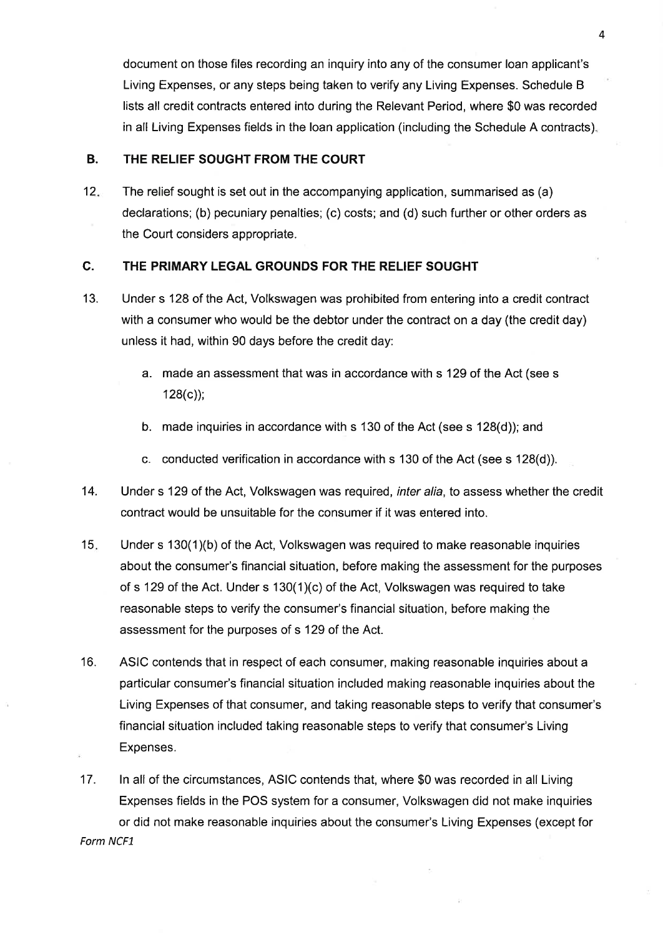document on those files recording an inquiry into any of the consumer loan applicant's Living Expenses, or any steps being taken to verify any Living Expenses. Schedule B lists all credit contracts entered into during the Relevant Period, where \$0 was recorded in all Living Expenses fields in the loan application (including the Schedule A contracts).

#### **B.** THE RELIEF SOUGHT FROM THE COURT

 $12.$ The relief sought is set out in the accompanying application, summarised as (a) declarations; (b) pecuniary penalties; (c) costs; and (d) such further or other orders as the Court considers appropriate.

#### C. THE PRIMARY LEGAL GROUNDS FOR THE RELIEF SOUGHT

- $13.$ Under s 128 of the Act, Volkswagen was prohibited from entering into a credit contract with a consumer who would be the debtor under the contract on a day (the credit day) unless it had, within 90 days before the credit day:
	- a. made an assessment that was in accordance with s 129 of the Act (see s  $128(c)$ ;
	- b. made inquiries in accordance with s 130 of the Act (see s 128(d)); and
	- c. conducted verification in accordance with s 130 of the Act (see s 128(d)).
- 14. Under s 129 of the Act, Volkswagen was required, *inter alia*, to assess whether the credit contract would be unsuitable for the consumer if it was entered into.
- $15.$ Under s 130(1)(b) of the Act, Volkswagen was required to make reasonable inquiries about the consumer's financial situation, before making the assessment for the purposes of s 129 of the Act. Under s 130(1)(c) of the Act, Volkswagen was required to take reasonable steps to verify the consumer's financial situation, before making the assessment for the purposes of s 129 of the Act.
- $16.$ ASIC contends that in respect of each consumer, making reasonable inquiries about a particular consumer's financial situation included making reasonable inquiries about the Living Expenses of that consumer, and taking reasonable steps to verify that consumer's financial situation included taking reasonable steps to verify that consumer's Living Expenses.
- $17.$ In all of the circumstances, ASIC contends that, where \$0 was recorded in all Living Expenses fields in the POS system for a consumer, Volkswagen did not make inquiries or did not make reasonable inquiries about the consumer's Living Expenses (except for Form NCF1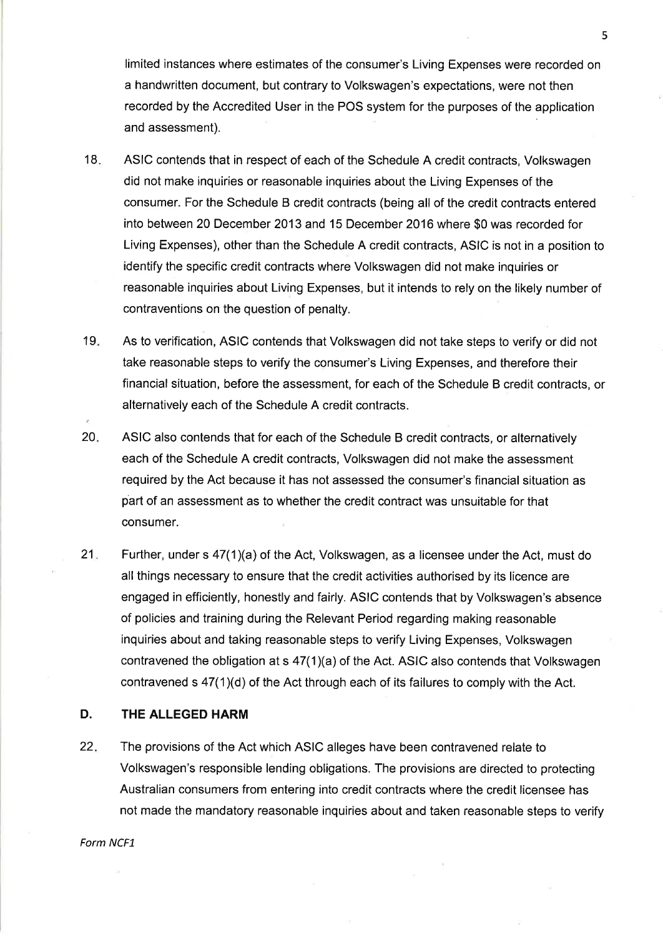limited instances where estimates of the consumer's Living Expenses were recorded on a handwritten document, but contrary to Volkswagen's expectations, were not then recorded by the Accredited User in the POS system for the purposes of the application and assessment).

- $18.$ ASIC contends that in respect of each of the Schedule A credit contracts, Volkswagen did not make inquiries or reasonable inquiries about the Living Expenses of the consumer. For the Schedule B credit contracts (being all of the credit contracts entered into between 20 December 2013 and 15 December 2016 where \$0 was recorded for Living Expenses), other than the Schedule A credit contracts, ASIC is not in a position to identify the specific credit contracts where Volkswagen did not make inquiries or reasonable inquiries about Living Expenses, but it intends to rely on the likely number of contraventions on the question of penalty.
- $19.$ As to verification, ASIC contends that Volkswagen did not take steps to verify or did not take reasonable steps to verify the consumer's Living Expenses, and therefore their financial situation, before the assessment, for each of the Schedule B credit contracts, or alternatively each of the Schedule A credit contracts.
- $20.$ ASIC also contends that for each of the Schedule B credit contracts, or alternatively each of the Schedule A credit contracts, Volkswagen did not make the assessment required by the Act because it has not assessed the consumer's financial situation as part of an assessment as to whether the credit contract was unsuitable for that consumer.
- $21.$ Further, under s 47(1)(a) of the Act, Volkswagen, as a licensee under the Act, must do all things necessary to ensure that the credit activities authorised by its licence are engaged in efficiently, honestly and fairly. ASIC contends that by Volkswagen's absence of policies and training during the Relevant Period regarding making reasonable inquiries about and taking reasonable steps to verify Living Expenses, Volkswagen contravened the obligation at s 47(1)(a) of the Act. ASIC also contends that Volkswagen contravened s 47(1)(d) of the Act through each of its failures to comply with the Act.

#### D. THE ALLEGED HARM

22. The provisions of the Act which ASIC alleges have been contravened relate to Volkswagen's responsible lending obligations. The provisions are directed to protecting Australian consumers from entering into credit contracts where the credit licensee has not made the mandatory reasonable inquiries about and taken reasonable steps to verify

Form NCF1

5